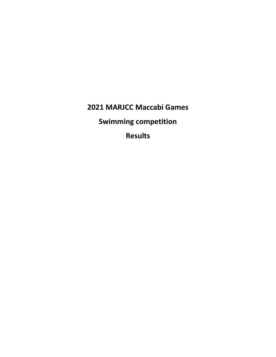**2021 MARJCC Maccabi Games**

**Swimming competition**

**Results**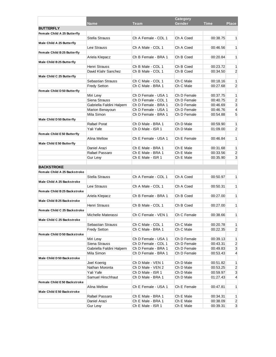| <b>Place</b><br>Gender<br><b>Time</b><br><b>Name</b><br>Team<br><b>BUTTERFLY</b><br>Female Child A 25 Butterfly<br>Stella Strauss<br>Ch A Female - COL 1<br>Ch A Coed<br>00:38.75<br>1 <sup>1</sup><br>Male Child A 25 Butterfly<br>Levi Strauss<br>Ch A Male - COL 1<br>Ch A Coed<br>00:46.56<br>1 <sup>1</sup><br>Female Child B 25 Butterfly<br>Ariela Klepacz<br>Ch B Female - BRA 1<br>Ch B Coed<br>00:20.84<br>1<br>Male Child B 25 Butterfly<br>Henri Strauss<br>Ch B Male - COL 1<br>Ch B Coed<br>00:23.72<br>$\mathbf{1}$<br>David Klahr Sanchez<br>Ch B Male - COL 1<br>$\overline{2}$<br>Ch B Coed<br>00:34.50<br>Male Child C 25 Butterfly<br>Sebastian Strauss<br>Ch C Male - COL 1<br>Ch C Male<br>00:18.16<br>1<br><b>Fredy Setton</b><br>Ch C Male - BRA 1<br>Ch C Male<br>00:27.68<br>$\overline{2}$<br>Female Child D 50 Butterfly<br>Ch D Female - USA 1<br>Ch D Female<br>1<br>Miri Lew<br>00:37.75<br>$\overline{2}$<br>Siena Strauss<br>Ch D Female - COL 1<br>Ch D Female<br>00:40.75<br>3<br>Gabriella Faldini Halpern<br>Ch D Female - BRA 1<br>Ch D Female<br>00:46.69<br>Ch D Female - USA 1<br>Ch D Female<br>00:46.76<br>4<br>Marion Benayoun<br>5<br>Mila Simon<br>Ch D Female - BRA 1<br>Ch D Female<br>00:54.88<br>Male Child D 50 Butterfly<br>Rafael Porat<br>Ch D Male - BRA 1<br>Ch D Male<br>00:59.90<br>$\mathbf{1}$<br>Yali Yafe<br>Ch D Male - ISR 1<br>Ch D Male<br>01:09.00<br>$\overline{2}$<br><b>Female Child E50 Butterfly</b><br>Alina Mellow<br>Ch E Female - USA 1<br>Ch E Female<br>00:46.84<br>1<br>Male Child E50 Butterfly<br>Daniel Arazi<br>Ch E Male - BRA 1<br>Ch E Male<br>00:31.68<br>$\mathbf{1}$<br>Rafael Passaro<br>Ch E Male<br>$\overline{c}$<br>Ch E Male - BRA 1<br>00:33.56<br>3<br>Ch E Male - ISR 1<br>Ch E Male<br>00:35.90<br>Gur Lew<br><b>BACKSTROKE</b><br>Female Child A 25 Backstroke<br><b>Stella Strauss</b><br>Ch A Female - COL 1<br>Ch A Coed<br>00:50.97<br>1 <sup>1</sup><br>Male Child A 25 Backstroke<br>Levi Strauss<br>Ch A Male - COL 1<br>Ch A Coed<br>00:50.31<br>1 <sup>1</sup><br>Female Child B 25 Backstroke<br>Ariela Klepacz<br>Ch B Female - BRA 1<br>Ch B Coed<br>00:27.00<br>1 <sup>1</sup><br>Male Child B 25 Backstroke<br>Henri Strauss<br>Ch B Male - COL 1<br>Ch B Coed<br>00:27.00<br>1<br>Female Child C 25 Backstroke<br>Michelle Materassi<br>Ch C Female - VEN 1<br>Ch C Female<br>00:38.66<br>1 <sup>1</sup><br>Male Child C 25 Backstroke<br>Sebastian Strauss<br>Ch C Male<br>1<br>Ch C Male - COL 1<br>00:20.78<br>Ch C Male - BRA 1<br>Ch C Male<br><b>Fredy Setton</b><br>00:22.35<br>$\overline{2}$<br>Female Child D 50 Backstroke<br>Ch D Female - USA 1<br>Ch D Female<br>1<br>Miri Lew<br>00:39.13<br>Siena Strauss<br>Ch D Female - COL 1<br>Ch D Female<br>00:43.31<br>$\overline{2}$<br>Gabriella Faldini Halpern<br>Ch D Female - BRA 1<br>Ch D Female<br>$\mathbf{3}$<br>00:49.83<br>Ch D Female - BRA 1<br>Ch D Female<br>Mila Simon<br>00:53.43<br>4<br>Male Child D 50 Backstroke<br>Joel Koenig<br>Ch D Male - VEN 1<br>Ch D Male<br>$\mathbf{1}$<br>00:51.82<br>Nathan Moronta<br>Ch D Male - VEN 2<br>Ch D Male<br>00:53.25<br>$\overline{2}$<br>Yali Yafe<br>Ch D Male - ISR 1<br>Ch D Male<br>00:59.97<br>$\mathbf{3}$<br>Samuel Hirschhaut<br>Ch D Male - BRA 1<br>Ch D Male<br>01:27.43<br>4<br>Female Child E50 Backstroke<br>Alina Mellow<br>Ch E Female<br>Ch E Female - USA 1<br>1<br>00:47.81<br>Male Child E50 Backstroke<br>Rafael Passaro<br>Ch E Male - BRA 1<br>Ch E Male<br>00:34.31<br>1 <sup>1</sup><br>Daniel Arazi<br>Ch E Male - BRA 1<br>Ch E Male<br>00:38.09<br>$\mathbf{2}$<br>Ch E Male - ISR 1<br>3 <sup>1</sup><br>Gur Levy<br>Ch E Male<br>00:39.31 | Category |  |  |  |  |
|---------------------------------------------------------------------------------------------------------------------------------------------------------------------------------------------------------------------------------------------------------------------------------------------------------------------------------------------------------------------------------------------------------------------------------------------------------------------------------------------------------------------------------------------------------------------------------------------------------------------------------------------------------------------------------------------------------------------------------------------------------------------------------------------------------------------------------------------------------------------------------------------------------------------------------------------------------------------------------------------------------------------------------------------------------------------------------------------------------------------------------------------------------------------------------------------------------------------------------------------------------------------------------------------------------------------------------------------------------------------------------------------------------------------------------------------------------------------------------------------------------------------------------------------------------------------------------------------------------------------------------------------------------------------------------------------------------------------------------------------------------------------------------------------------------------------------------------------------------------------------------------------------------------------------------------------------------------------------------------------------------------------------------------------------------------------------------------------------------------------------------------------------------------------------------------------------------------------------------------------------------------------------------------------------------------------------------------------------------------------------------------------------------------------------------------------------------------------------------------------------------------------------------------------------------------------------------------------------------------------------------------------------------------------------------------------------------------------------------------------------------------------------------------------------------------------------------------------------------------------------------------------------------------------------------------------------------------------------------------------------------------------------------------------------------------------------------------------------------------------------------------------------------------------------------------------------------------------------------------------------------------------------------------------------------------------------------------------------------------------------------------------------------------------------------------------------------------------------------------------------------------------------------------------------------------------------------------------------------------------------------------------------------------------------------------------------------------------|----------|--|--|--|--|
|                                                                                                                                                                                                                                                                                                                                                                                                                                                                                                                                                                                                                                                                                                                                                                                                                                                                                                                                                                                                                                                                                                                                                                                                                                                                                                                                                                                                                                                                                                                                                                                                                                                                                                                                                                                                                                                                                                                                                                                                                                                                                                                                                                                                                                                                                                                                                                                                                                                                                                                                                                                                                                                                                                                                                                                                                                                                                                                                                                                                                                                                                                                                                                                                                                                                                                                                                                                                                                                                                                                                                                                                                                                                                                                     |          |  |  |  |  |
|                                                                                                                                                                                                                                                                                                                                                                                                                                                                                                                                                                                                                                                                                                                                                                                                                                                                                                                                                                                                                                                                                                                                                                                                                                                                                                                                                                                                                                                                                                                                                                                                                                                                                                                                                                                                                                                                                                                                                                                                                                                                                                                                                                                                                                                                                                                                                                                                                                                                                                                                                                                                                                                                                                                                                                                                                                                                                                                                                                                                                                                                                                                                                                                                                                                                                                                                                                                                                                                                                                                                                                                                                                                                                                                     |          |  |  |  |  |
|                                                                                                                                                                                                                                                                                                                                                                                                                                                                                                                                                                                                                                                                                                                                                                                                                                                                                                                                                                                                                                                                                                                                                                                                                                                                                                                                                                                                                                                                                                                                                                                                                                                                                                                                                                                                                                                                                                                                                                                                                                                                                                                                                                                                                                                                                                                                                                                                                                                                                                                                                                                                                                                                                                                                                                                                                                                                                                                                                                                                                                                                                                                                                                                                                                                                                                                                                                                                                                                                                                                                                                                                                                                                                                                     |          |  |  |  |  |
|                                                                                                                                                                                                                                                                                                                                                                                                                                                                                                                                                                                                                                                                                                                                                                                                                                                                                                                                                                                                                                                                                                                                                                                                                                                                                                                                                                                                                                                                                                                                                                                                                                                                                                                                                                                                                                                                                                                                                                                                                                                                                                                                                                                                                                                                                                                                                                                                                                                                                                                                                                                                                                                                                                                                                                                                                                                                                                                                                                                                                                                                                                                                                                                                                                                                                                                                                                                                                                                                                                                                                                                                                                                                                                                     |          |  |  |  |  |
|                                                                                                                                                                                                                                                                                                                                                                                                                                                                                                                                                                                                                                                                                                                                                                                                                                                                                                                                                                                                                                                                                                                                                                                                                                                                                                                                                                                                                                                                                                                                                                                                                                                                                                                                                                                                                                                                                                                                                                                                                                                                                                                                                                                                                                                                                                                                                                                                                                                                                                                                                                                                                                                                                                                                                                                                                                                                                                                                                                                                                                                                                                                                                                                                                                                                                                                                                                                                                                                                                                                                                                                                                                                                                                                     |          |  |  |  |  |
|                                                                                                                                                                                                                                                                                                                                                                                                                                                                                                                                                                                                                                                                                                                                                                                                                                                                                                                                                                                                                                                                                                                                                                                                                                                                                                                                                                                                                                                                                                                                                                                                                                                                                                                                                                                                                                                                                                                                                                                                                                                                                                                                                                                                                                                                                                                                                                                                                                                                                                                                                                                                                                                                                                                                                                                                                                                                                                                                                                                                                                                                                                                                                                                                                                                                                                                                                                                                                                                                                                                                                                                                                                                                                                                     |          |  |  |  |  |
|                                                                                                                                                                                                                                                                                                                                                                                                                                                                                                                                                                                                                                                                                                                                                                                                                                                                                                                                                                                                                                                                                                                                                                                                                                                                                                                                                                                                                                                                                                                                                                                                                                                                                                                                                                                                                                                                                                                                                                                                                                                                                                                                                                                                                                                                                                                                                                                                                                                                                                                                                                                                                                                                                                                                                                                                                                                                                                                                                                                                                                                                                                                                                                                                                                                                                                                                                                                                                                                                                                                                                                                                                                                                                                                     |          |  |  |  |  |
|                                                                                                                                                                                                                                                                                                                                                                                                                                                                                                                                                                                                                                                                                                                                                                                                                                                                                                                                                                                                                                                                                                                                                                                                                                                                                                                                                                                                                                                                                                                                                                                                                                                                                                                                                                                                                                                                                                                                                                                                                                                                                                                                                                                                                                                                                                                                                                                                                                                                                                                                                                                                                                                                                                                                                                                                                                                                                                                                                                                                                                                                                                                                                                                                                                                                                                                                                                                                                                                                                                                                                                                                                                                                                                                     |          |  |  |  |  |
|                                                                                                                                                                                                                                                                                                                                                                                                                                                                                                                                                                                                                                                                                                                                                                                                                                                                                                                                                                                                                                                                                                                                                                                                                                                                                                                                                                                                                                                                                                                                                                                                                                                                                                                                                                                                                                                                                                                                                                                                                                                                                                                                                                                                                                                                                                                                                                                                                                                                                                                                                                                                                                                                                                                                                                                                                                                                                                                                                                                                                                                                                                                                                                                                                                                                                                                                                                                                                                                                                                                                                                                                                                                                                                                     |          |  |  |  |  |
|                                                                                                                                                                                                                                                                                                                                                                                                                                                                                                                                                                                                                                                                                                                                                                                                                                                                                                                                                                                                                                                                                                                                                                                                                                                                                                                                                                                                                                                                                                                                                                                                                                                                                                                                                                                                                                                                                                                                                                                                                                                                                                                                                                                                                                                                                                                                                                                                                                                                                                                                                                                                                                                                                                                                                                                                                                                                                                                                                                                                                                                                                                                                                                                                                                                                                                                                                                                                                                                                                                                                                                                                                                                                                                                     |          |  |  |  |  |
|                                                                                                                                                                                                                                                                                                                                                                                                                                                                                                                                                                                                                                                                                                                                                                                                                                                                                                                                                                                                                                                                                                                                                                                                                                                                                                                                                                                                                                                                                                                                                                                                                                                                                                                                                                                                                                                                                                                                                                                                                                                                                                                                                                                                                                                                                                                                                                                                                                                                                                                                                                                                                                                                                                                                                                                                                                                                                                                                                                                                                                                                                                                                                                                                                                                                                                                                                                                                                                                                                                                                                                                                                                                                                                                     |          |  |  |  |  |
|                                                                                                                                                                                                                                                                                                                                                                                                                                                                                                                                                                                                                                                                                                                                                                                                                                                                                                                                                                                                                                                                                                                                                                                                                                                                                                                                                                                                                                                                                                                                                                                                                                                                                                                                                                                                                                                                                                                                                                                                                                                                                                                                                                                                                                                                                                                                                                                                                                                                                                                                                                                                                                                                                                                                                                                                                                                                                                                                                                                                                                                                                                                                                                                                                                                                                                                                                                                                                                                                                                                                                                                                                                                                                                                     |          |  |  |  |  |
|                                                                                                                                                                                                                                                                                                                                                                                                                                                                                                                                                                                                                                                                                                                                                                                                                                                                                                                                                                                                                                                                                                                                                                                                                                                                                                                                                                                                                                                                                                                                                                                                                                                                                                                                                                                                                                                                                                                                                                                                                                                                                                                                                                                                                                                                                                                                                                                                                                                                                                                                                                                                                                                                                                                                                                                                                                                                                                                                                                                                                                                                                                                                                                                                                                                                                                                                                                                                                                                                                                                                                                                                                                                                                                                     |          |  |  |  |  |
|                                                                                                                                                                                                                                                                                                                                                                                                                                                                                                                                                                                                                                                                                                                                                                                                                                                                                                                                                                                                                                                                                                                                                                                                                                                                                                                                                                                                                                                                                                                                                                                                                                                                                                                                                                                                                                                                                                                                                                                                                                                                                                                                                                                                                                                                                                                                                                                                                                                                                                                                                                                                                                                                                                                                                                                                                                                                                                                                                                                                                                                                                                                                                                                                                                                                                                                                                                                                                                                                                                                                                                                                                                                                                                                     |          |  |  |  |  |
|                                                                                                                                                                                                                                                                                                                                                                                                                                                                                                                                                                                                                                                                                                                                                                                                                                                                                                                                                                                                                                                                                                                                                                                                                                                                                                                                                                                                                                                                                                                                                                                                                                                                                                                                                                                                                                                                                                                                                                                                                                                                                                                                                                                                                                                                                                                                                                                                                                                                                                                                                                                                                                                                                                                                                                                                                                                                                                                                                                                                                                                                                                                                                                                                                                                                                                                                                                                                                                                                                                                                                                                                                                                                                                                     |          |  |  |  |  |
|                                                                                                                                                                                                                                                                                                                                                                                                                                                                                                                                                                                                                                                                                                                                                                                                                                                                                                                                                                                                                                                                                                                                                                                                                                                                                                                                                                                                                                                                                                                                                                                                                                                                                                                                                                                                                                                                                                                                                                                                                                                                                                                                                                                                                                                                                                                                                                                                                                                                                                                                                                                                                                                                                                                                                                                                                                                                                                                                                                                                                                                                                                                                                                                                                                                                                                                                                                                                                                                                                                                                                                                                                                                                                                                     |          |  |  |  |  |
|                                                                                                                                                                                                                                                                                                                                                                                                                                                                                                                                                                                                                                                                                                                                                                                                                                                                                                                                                                                                                                                                                                                                                                                                                                                                                                                                                                                                                                                                                                                                                                                                                                                                                                                                                                                                                                                                                                                                                                                                                                                                                                                                                                                                                                                                                                                                                                                                                                                                                                                                                                                                                                                                                                                                                                                                                                                                                                                                                                                                                                                                                                                                                                                                                                                                                                                                                                                                                                                                                                                                                                                                                                                                                                                     |          |  |  |  |  |
|                                                                                                                                                                                                                                                                                                                                                                                                                                                                                                                                                                                                                                                                                                                                                                                                                                                                                                                                                                                                                                                                                                                                                                                                                                                                                                                                                                                                                                                                                                                                                                                                                                                                                                                                                                                                                                                                                                                                                                                                                                                                                                                                                                                                                                                                                                                                                                                                                                                                                                                                                                                                                                                                                                                                                                                                                                                                                                                                                                                                                                                                                                                                                                                                                                                                                                                                                                                                                                                                                                                                                                                                                                                                                                                     |          |  |  |  |  |
|                                                                                                                                                                                                                                                                                                                                                                                                                                                                                                                                                                                                                                                                                                                                                                                                                                                                                                                                                                                                                                                                                                                                                                                                                                                                                                                                                                                                                                                                                                                                                                                                                                                                                                                                                                                                                                                                                                                                                                                                                                                                                                                                                                                                                                                                                                                                                                                                                                                                                                                                                                                                                                                                                                                                                                                                                                                                                                                                                                                                                                                                                                                                                                                                                                                                                                                                                                                                                                                                                                                                                                                                                                                                                                                     |          |  |  |  |  |
|                                                                                                                                                                                                                                                                                                                                                                                                                                                                                                                                                                                                                                                                                                                                                                                                                                                                                                                                                                                                                                                                                                                                                                                                                                                                                                                                                                                                                                                                                                                                                                                                                                                                                                                                                                                                                                                                                                                                                                                                                                                                                                                                                                                                                                                                                                                                                                                                                                                                                                                                                                                                                                                                                                                                                                                                                                                                                                                                                                                                                                                                                                                                                                                                                                                                                                                                                                                                                                                                                                                                                                                                                                                                                                                     |          |  |  |  |  |
|                                                                                                                                                                                                                                                                                                                                                                                                                                                                                                                                                                                                                                                                                                                                                                                                                                                                                                                                                                                                                                                                                                                                                                                                                                                                                                                                                                                                                                                                                                                                                                                                                                                                                                                                                                                                                                                                                                                                                                                                                                                                                                                                                                                                                                                                                                                                                                                                                                                                                                                                                                                                                                                                                                                                                                                                                                                                                                                                                                                                                                                                                                                                                                                                                                                                                                                                                                                                                                                                                                                                                                                                                                                                                                                     |          |  |  |  |  |
|                                                                                                                                                                                                                                                                                                                                                                                                                                                                                                                                                                                                                                                                                                                                                                                                                                                                                                                                                                                                                                                                                                                                                                                                                                                                                                                                                                                                                                                                                                                                                                                                                                                                                                                                                                                                                                                                                                                                                                                                                                                                                                                                                                                                                                                                                                                                                                                                                                                                                                                                                                                                                                                                                                                                                                                                                                                                                                                                                                                                                                                                                                                                                                                                                                                                                                                                                                                                                                                                                                                                                                                                                                                                                                                     |          |  |  |  |  |
|                                                                                                                                                                                                                                                                                                                                                                                                                                                                                                                                                                                                                                                                                                                                                                                                                                                                                                                                                                                                                                                                                                                                                                                                                                                                                                                                                                                                                                                                                                                                                                                                                                                                                                                                                                                                                                                                                                                                                                                                                                                                                                                                                                                                                                                                                                                                                                                                                                                                                                                                                                                                                                                                                                                                                                                                                                                                                                                                                                                                                                                                                                                                                                                                                                                                                                                                                                                                                                                                                                                                                                                                                                                                                                                     |          |  |  |  |  |
|                                                                                                                                                                                                                                                                                                                                                                                                                                                                                                                                                                                                                                                                                                                                                                                                                                                                                                                                                                                                                                                                                                                                                                                                                                                                                                                                                                                                                                                                                                                                                                                                                                                                                                                                                                                                                                                                                                                                                                                                                                                                                                                                                                                                                                                                                                                                                                                                                                                                                                                                                                                                                                                                                                                                                                                                                                                                                                                                                                                                                                                                                                                                                                                                                                                                                                                                                                                                                                                                                                                                                                                                                                                                                                                     |          |  |  |  |  |
|                                                                                                                                                                                                                                                                                                                                                                                                                                                                                                                                                                                                                                                                                                                                                                                                                                                                                                                                                                                                                                                                                                                                                                                                                                                                                                                                                                                                                                                                                                                                                                                                                                                                                                                                                                                                                                                                                                                                                                                                                                                                                                                                                                                                                                                                                                                                                                                                                                                                                                                                                                                                                                                                                                                                                                                                                                                                                                                                                                                                                                                                                                                                                                                                                                                                                                                                                                                                                                                                                                                                                                                                                                                                                                                     |          |  |  |  |  |
|                                                                                                                                                                                                                                                                                                                                                                                                                                                                                                                                                                                                                                                                                                                                                                                                                                                                                                                                                                                                                                                                                                                                                                                                                                                                                                                                                                                                                                                                                                                                                                                                                                                                                                                                                                                                                                                                                                                                                                                                                                                                                                                                                                                                                                                                                                                                                                                                                                                                                                                                                                                                                                                                                                                                                                                                                                                                                                                                                                                                                                                                                                                                                                                                                                                                                                                                                                                                                                                                                                                                                                                                                                                                                                                     |          |  |  |  |  |
|                                                                                                                                                                                                                                                                                                                                                                                                                                                                                                                                                                                                                                                                                                                                                                                                                                                                                                                                                                                                                                                                                                                                                                                                                                                                                                                                                                                                                                                                                                                                                                                                                                                                                                                                                                                                                                                                                                                                                                                                                                                                                                                                                                                                                                                                                                                                                                                                                                                                                                                                                                                                                                                                                                                                                                                                                                                                                                                                                                                                                                                                                                                                                                                                                                                                                                                                                                                                                                                                                                                                                                                                                                                                                                                     |          |  |  |  |  |
|                                                                                                                                                                                                                                                                                                                                                                                                                                                                                                                                                                                                                                                                                                                                                                                                                                                                                                                                                                                                                                                                                                                                                                                                                                                                                                                                                                                                                                                                                                                                                                                                                                                                                                                                                                                                                                                                                                                                                                                                                                                                                                                                                                                                                                                                                                                                                                                                                                                                                                                                                                                                                                                                                                                                                                                                                                                                                                                                                                                                                                                                                                                                                                                                                                                                                                                                                                                                                                                                                                                                                                                                                                                                                                                     |          |  |  |  |  |
|                                                                                                                                                                                                                                                                                                                                                                                                                                                                                                                                                                                                                                                                                                                                                                                                                                                                                                                                                                                                                                                                                                                                                                                                                                                                                                                                                                                                                                                                                                                                                                                                                                                                                                                                                                                                                                                                                                                                                                                                                                                                                                                                                                                                                                                                                                                                                                                                                                                                                                                                                                                                                                                                                                                                                                                                                                                                                                                                                                                                                                                                                                                                                                                                                                                                                                                                                                                                                                                                                                                                                                                                                                                                                                                     |          |  |  |  |  |
|                                                                                                                                                                                                                                                                                                                                                                                                                                                                                                                                                                                                                                                                                                                                                                                                                                                                                                                                                                                                                                                                                                                                                                                                                                                                                                                                                                                                                                                                                                                                                                                                                                                                                                                                                                                                                                                                                                                                                                                                                                                                                                                                                                                                                                                                                                                                                                                                                                                                                                                                                                                                                                                                                                                                                                                                                                                                                                                                                                                                                                                                                                                                                                                                                                                                                                                                                                                                                                                                                                                                                                                                                                                                                                                     |          |  |  |  |  |
|                                                                                                                                                                                                                                                                                                                                                                                                                                                                                                                                                                                                                                                                                                                                                                                                                                                                                                                                                                                                                                                                                                                                                                                                                                                                                                                                                                                                                                                                                                                                                                                                                                                                                                                                                                                                                                                                                                                                                                                                                                                                                                                                                                                                                                                                                                                                                                                                                                                                                                                                                                                                                                                                                                                                                                                                                                                                                                                                                                                                                                                                                                                                                                                                                                                                                                                                                                                                                                                                                                                                                                                                                                                                                                                     |          |  |  |  |  |
|                                                                                                                                                                                                                                                                                                                                                                                                                                                                                                                                                                                                                                                                                                                                                                                                                                                                                                                                                                                                                                                                                                                                                                                                                                                                                                                                                                                                                                                                                                                                                                                                                                                                                                                                                                                                                                                                                                                                                                                                                                                                                                                                                                                                                                                                                                                                                                                                                                                                                                                                                                                                                                                                                                                                                                                                                                                                                                                                                                                                                                                                                                                                                                                                                                                                                                                                                                                                                                                                                                                                                                                                                                                                                                                     |          |  |  |  |  |
|                                                                                                                                                                                                                                                                                                                                                                                                                                                                                                                                                                                                                                                                                                                                                                                                                                                                                                                                                                                                                                                                                                                                                                                                                                                                                                                                                                                                                                                                                                                                                                                                                                                                                                                                                                                                                                                                                                                                                                                                                                                                                                                                                                                                                                                                                                                                                                                                                                                                                                                                                                                                                                                                                                                                                                                                                                                                                                                                                                                                                                                                                                                                                                                                                                                                                                                                                                                                                                                                                                                                                                                                                                                                                                                     |          |  |  |  |  |
|                                                                                                                                                                                                                                                                                                                                                                                                                                                                                                                                                                                                                                                                                                                                                                                                                                                                                                                                                                                                                                                                                                                                                                                                                                                                                                                                                                                                                                                                                                                                                                                                                                                                                                                                                                                                                                                                                                                                                                                                                                                                                                                                                                                                                                                                                                                                                                                                                                                                                                                                                                                                                                                                                                                                                                                                                                                                                                                                                                                                                                                                                                                                                                                                                                                                                                                                                                                                                                                                                                                                                                                                                                                                                                                     |          |  |  |  |  |
|                                                                                                                                                                                                                                                                                                                                                                                                                                                                                                                                                                                                                                                                                                                                                                                                                                                                                                                                                                                                                                                                                                                                                                                                                                                                                                                                                                                                                                                                                                                                                                                                                                                                                                                                                                                                                                                                                                                                                                                                                                                                                                                                                                                                                                                                                                                                                                                                                                                                                                                                                                                                                                                                                                                                                                                                                                                                                                                                                                                                                                                                                                                                                                                                                                                                                                                                                                                                                                                                                                                                                                                                                                                                                                                     |          |  |  |  |  |
|                                                                                                                                                                                                                                                                                                                                                                                                                                                                                                                                                                                                                                                                                                                                                                                                                                                                                                                                                                                                                                                                                                                                                                                                                                                                                                                                                                                                                                                                                                                                                                                                                                                                                                                                                                                                                                                                                                                                                                                                                                                                                                                                                                                                                                                                                                                                                                                                                                                                                                                                                                                                                                                                                                                                                                                                                                                                                                                                                                                                                                                                                                                                                                                                                                                                                                                                                                                                                                                                                                                                                                                                                                                                                                                     |          |  |  |  |  |
|                                                                                                                                                                                                                                                                                                                                                                                                                                                                                                                                                                                                                                                                                                                                                                                                                                                                                                                                                                                                                                                                                                                                                                                                                                                                                                                                                                                                                                                                                                                                                                                                                                                                                                                                                                                                                                                                                                                                                                                                                                                                                                                                                                                                                                                                                                                                                                                                                                                                                                                                                                                                                                                                                                                                                                                                                                                                                                                                                                                                                                                                                                                                                                                                                                                                                                                                                                                                                                                                                                                                                                                                                                                                                                                     |          |  |  |  |  |
|                                                                                                                                                                                                                                                                                                                                                                                                                                                                                                                                                                                                                                                                                                                                                                                                                                                                                                                                                                                                                                                                                                                                                                                                                                                                                                                                                                                                                                                                                                                                                                                                                                                                                                                                                                                                                                                                                                                                                                                                                                                                                                                                                                                                                                                                                                                                                                                                                                                                                                                                                                                                                                                                                                                                                                                                                                                                                                                                                                                                                                                                                                                                                                                                                                                                                                                                                                                                                                                                                                                                                                                                                                                                                                                     |          |  |  |  |  |
|                                                                                                                                                                                                                                                                                                                                                                                                                                                                                                                                                                                                                                                                                                                                                                                                                                                                                                                                                                                                                                                                                                                                                                                                                                                                                                                                                                                                                                                                                                                                                                                                                                                                                                                                                                                                                                                                                                                                                                                                                                                                                                                                                                                                                                                                                                                                                                                                                                                                                                                                                                                                                                                                                                                                                                                                                                                                                                                                                                                                                                                                                                                                                                                                                                                                                                                                                                                                                                                                                                                                                                                                                                                                                                                     |          |  |  |  |  |
|                                                                                                                                                                                                                                                                                                                                                                                                                                                                                                                                                                                                                                                                                                                                                                                                                                                                                                                                                                                                                                                                                                                                                                                                                                                                                                                                                                                                                                                                                                                                                                                                                                                                                                                                                                                                                                                                                                                                                                                                                                                                                                                                                                                                                                                                                                                                                                                                                                                                                                                                                                                                                                                                                                                                                                                                                                                                                                                                                                                                                                                                                                                                                                                                                                                                                                                                                                                                                                                                                                                                                                                                                                                                                                                     |          |  |  |  |  |
|                                                                                                                                                                                                                                                                                                                                                                                                                                                                                                                                                                                                                                                                                                                                                                                                                                                                                                                                                                                                                                                                                                                                                                                                                                                                                                                                                                                                                                                                                                                                                                                                                                                                                                                                                                                                                                                                                                                                                                                                                                                                                                                                                                                                                                                                                                                                                                                                                                                                                                                                                                                                                                                                                                                                                                                                                                                                                                                                                                                                                                                                                                                                                                                                                                                                                                                                                                                                                                                                                                                                                                                                                                                                                                                     |          |  |  |  |  |
|                                                                                                                                                                                                                                                                                                                                                                                                                                                                                                                                                                                                                                                                                                                                                                                                                                                                                                                                                                                                                                                                                                                                                                                                                                                                                                                                                                                                                                                                                                                                                                                                                                                                                                                                                                                                                                                                                                                                                                                                                                                                                                                                                                                                                                                                                                                                                                                                                                                                                                                                                                                                                                                                                                                                                                                                                                                                                                                                                                                                                                                                                                                                                                                                                                                                                                                                                                                                                                                                                                                                                                                                                                                                                                                     |          |  |  |  |  |
|                                                                                                                                                                                                                                                                                                                                                                                                                                                                                                                                                                                                                                                                                                                                                                                                                                                                                                                                                                                                                                                                                                                                                                                                                                                                                                                                                                                                                                                                                                                                                                                                                                                                                                                                                                                                                                                                                                                                                                                                                                                                                                                                                                                                                                                                                                                                                                                                                                                                                                                                                                                                                                                                                                                                                                                                                                                                                                                                                                                                                                                                                                                                                                                                                                                                                                                                                                                                                                                                                                                                                                                                                                                                                                                     |          |  |  |  |  |
|                                                                                                                                                                                                                                                                                                                                                                                                                                                                                                                                                                                                                                                                                                                                                                                                                                                                                                                                                                                                                                                                                                                                                                                                                                                                                                                                                                                                                                                                                                                                                                                                                                                                                                                                                                                                                                                                                                                                                                                                                                                                                                                                                                                                                                                                                                                                                                                                                                                                                                                                                                                                                                                                                                                                                                                                                                                                                                                                                                                                                                                                                                                                                                                                                                                                                                                                                                                                                                                                                                                                                                                                                                                                                                                     |          |  |  |  |  |
|                                                                                                                                                                                                                                                                                                                                                                                                                                                                                                                                                                                                                                                                                                                                                                                                                                                                                                                                                                                                                                                                                                                                                                                                                                                                                                                                                                                                                                                                                                                                                                                                                                                                                                                                                                                                                                                                                                                                                                                                                                                                                                                                                                                                                                                                                                                                                                                                                                                                                                                                                                                                                                                                                                                                                                                                                                                                                                                                                                                                                                                                                                                                                                                                                                                                                                                                                                                                                                                                                                                                                                                                                                                                                                                     |          |  |  |  |  |
|                                                                                                                                                                                                                                                                                                                                                                                                                                                                                                                                                                                                                                                                                                                                                                                                                                                                                                                                                                                                                                                                                                                                                                                                                                                                                                                                                                                                                                                                                                                                                                                                                                                                                                                                                                                                                                                                                                                                                                                                                                                                                                                                                                                                                                                                                                                                                                                                                                                                                                                                                                                                                                                                                                                                                                                                                                                                                                                                                                                                                                                                                                                                                                                                                                                                                                                                                                                                                                                                                                                                                                                                                                                                                                                     |          |  |  |  |  |
|                                                                                                                                                                                                                                                                                                                                                                                                                                                                                                                                                                                                                                                                                                                                                                                                                                                                                                                                                                                                                                                                                                                                                                                                                                                                                                                                                                                                                                                                                                                                                                                                                                                                                                                                                                                                                                                                                                                                                                                                                                                                                                                                                                                                                                                                                                                                                                                                                                                                                                                                                                                                                                                                                                                                                                                                                                                                                                                                                                                                                                                                                                                                                                                                                                                                                                                                                                                                                                                                                                                                                                                                                                                                                                                     |          |  |  |  |  |
|                                                                                                                                                                                                                                                                                                                                                                                                                                                                                                                                                                                                                                                                                                                                                                                                                                                                                                                                                                                                                                                                                                                                                                                                                                                                                                                                                                                                                                                                                                                                                                                                                                                                                                                                                                                                                                                                                                                                                                                                                                                                                                                                                                                                                                                                                                                                                                                                                                                                                                                                                                                                                                                                                                                                                                                                                                                                                                                                                                                                                                                                                                                                                                                                                                                                                                                                                                                                                                                                                                                                                                                                                                                                                                                     |          |  |  |  |  |
|                                                                                                                                                                                                                                                                                                                                                                                                                                                                                                                                                                                                                                                                                                                                                                                                                                                                                                                                                                                                                                                                                                                                                                                                                                                                                                                                                                                                                                                                                                                                                                                                                                                                                                                                                                                                                                                                                                                                                                                                                                                                                                                                                                                                                                                                                                                                                                                                                                                                                                                                                                                                                                                                                                                                                                                                                                                                                                                                                                                                                                                                                                                                                                                                                                                                                                                                                                                                                                                                                                                                                                                                                                                                                                                     |          |  |  |  |  |
|                                                                                                                                                                                                                                                                                                                                                                                                                                                                                                                                                                                                                                                                                                                                                                                                                                                                                                                                                                                                                                                                                                                                                                                                                                                                                                                                                                                                                                                                                                                                                                                                                                                                                                                                                                                                                                                                                                                                                                                                                                                                                                                                                                                                                                                                                                                                                                                                                                                                                                                                                                                                                                                                                                                                                                                                                                                                                                                                                                                                                                                                                                                                                                                                                                                                                                                                                                                                                                                                                                                                                                                                                                                                                                                     |          |  |  |  |  |
|                                                                                                                                                                                                                                                                                                                                                                                                                                                                                                                                                                                                                                                                                                                                                                                                                                                                                                                                                                                                                                                                                                                                                                                                                                                                                                                                                                                                                                                                                                                                                                                                                                                                                                                                                                                                                                                                                                                                                                                                                                                                                                                                                                                                                                                                                                                                                                                                                                                                                                                                                                                                                                                                                                                                                                                                                                                                                                                                                                                                                                                                                                                                                                                                                                                                                                                                                                                                                                                                                                                                                                                                                                                                                                                     |          |  |  |  |  |
|                                                                                                                                                                                                                                                                                                                                                                                                                                                                                                                                                                                                                                                                                                                                                                                                                                                                                                                                                                                                                                                                                                                                                                                                                                                                                                                                                                                                                                                                                                                                                                                                                                                                                                                                                                                                                                                                                                                                                                                                                                                                                                                                                                                                                                                                                                                                                                                                                                                                                                                                                                                                                                                                                                                                                                                                                                                                                                                                                                                                                                                                                                                                                                                                                                                                                                                                                                                                                                                                                                                                                                                                                                                                                                                     |          |  |  |  |  |
|                                                                                                                                                                                                                                                                                                                                                                                                                                                                                                                                                                                                                                                                                                                                                                                                                                                                                                                                                                                                                                                                                                                                                                                                                                                                                                                                                                                                                                                                                                                                                                                                                                                                                                                                                                                                                                                                                                                                                                                                                                                                                                                                                                                                                                                                                                                                                                                                                                                                                                                                                                                                                                                                                                                                                                                                                                                                                                                                                                                                                                                                                                                                                                                                                                                                                                                                                                                                                                                                                                                                                                                                                                                                                                                     |          |  |  |  |  |
|                                                                                                                                                                                                                                                                                                                                                                                                                                                                                                                                                                                                                                                                                                                                                                                                                                                                                                                                                                                                                                                                                                                                                                                                                                                                                                                                                                                                                                                                                                                                                                                                                                                                                                                                                                                                                                                                                                                                                                                                                                                                                                                                                                                                                                                                                                                                                                                                                                                                                                                                                                                                                                                                                                                                                                                                                                                                                                                                                                                                                                                                                                                                                                                                                                                                                                                                                                                                                                                                                                                                                                                                                                                                                                                     |          |  |  |  |  |
|                                                                                                                                                                                                                                                                                                                                                                                                                                                                                                                                                                                                                                                                                                                                                                                                                                                                                                                                                                                                                                                                                                                                                                                                                                                                                                                                                                                                                                                                                                                                                                                                                                                                                                                                                                                                                                                                                                                                                                                                                                                                                                                                                                                                                                                                                                                                                                                                                                                                                                                                                                                                                                                                                                                                                                                                                                                                                                                                                                                                                                                                                                                                                                                                                                                                                                                                                                                                                                                                                                                                                                                                                                                                                                                     |          |  |  |  |  |
|                                                                                                                                                                                                                                                                                                                                                                                                                                                                                                                                                                                                                                                                                                                                                                                                                                                                                                                                                                                                                                                                                                                                                                                                                                                                                                                                                                                                                                                                                                                                                                                                                                                                                                                                                                                                                                                                                                                                                                                                                                                                                                                                                                                                                                                                                                                                                                                                                                                                                                                                                                                                                                                                                                                                                                                                                                                                                                                                                                                                                                                                                                                                                                                                                                                                                                                                                                                                                                                                                                                                                                                                                                                                                                                     |          |  |  |  |  |
|                                                                                                                                                                                                                                                                                                                                                                                                                                                                                                                                                                                                                                                                                                                                                                                                                                                                                                                                                                                                                                                                                                                                                                                                                                                                                                                                                                                                                                                                                                                                                                                                                                                                                                                                                                                                                                                                                                                                                                                                                                                                                                                                                                                                                                                                                                                                                                                                                                                                                                                                                                                                                                                                                                                                                                                                                                                                                                                                                                                                                                                                                                                                                                                                                                                                                                                                                                                                                                                                                                                                                                                                                                                                                                                     |          |  |  |  |  |
|                                                                                                                                                                                                                                                                                                                                                                                                                                                                                                                                                                                                                                                                                                                                                                                                                                                                                                                                                                                                                                                                                                                                                                                                                                                                                                                                                                                                                                                                                                                                                                                                                                                                                                                                                                                                                                                                                                                                                                                                                                                                                                                                                                                                                                                                                                                                                                                                                                                                                                                                                                                                                                                                                                                                                                                                                                                                                                                                                                                                                                                                                                                                                                                                                                                                                                                                                                                                                                                                                                                                                                                                                                                                                                                     |          |  |  |  |  |
|                                                                                                                                                                                                                                                                                                                                                                                                                                                                                                                                                                                                                                                                                                                                                                                                                                                                                                                                                                                                                                                                                                                                                                                                                                                                                                                                                                                                                                                                                                                                                                                                                                                                                                                                                                                                                                                                                                                                                                                                                                                                                                                                                                                                                                                                                                                                                                                                                                                                                                                                                                                                                                                                                                                                                                                                                                                                                                                                                                                                                                                                                                                                                                                                                                                                                                                                                                                                                                                                                                                                                                                                                                                                                                                     |          |  |  |  |  |
|                                                                                                                                                                                                                                                                                                                                                                                                                                                                                                                                                                                                                                                                                                                                                                                                                                                                                                                                                                                                                                                                                                                                                                                                                                                                                                                                                                                                                                                                                                                                                                                                                                                                                                                                                                                                                                                                                                                                                                                                                                                                                                                                                                                                                                                                                                                                                                                                                                                                                                                                                                                                                                                                                                                                                                                                                                                                                                                                                                                                                                                                                                                                                                                                                                                                                                                                                                                                                                                                                                                                                                                                                                                                                                                     |          |  |  |  |  |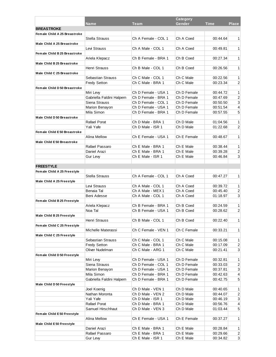|                                    |                           |                     | Category    |             |                           |
|------------------------------------|---------------------------|---------------------|-------------|-------------|---------------------------|
|                                    | <b>Name</b>               | <b>Team</b>         | Gender      | <b>Time</b> | <b>Place</b>              |
| <b>BREASTROKE</b>                  |                           |                     |             |             |                           |
| Female Child A 25 Breastroke       |                           |                     |             |             |                           |
|                                    | <b>Stella Strauss</b>     | Ch A Female - COL 1 | Ch A Coed   | 00:44.64    | 1                         |
| Male Child A 25 Breastroke         |                           |                     |             |             |                           |
|                                    | Levi Strauss              | Ch A Male - COL 1   | Ch A Coed   | 00:49.81    | $\mathbf{1}$              |
| Female Child B 25 Breastroke       |                           |                     |             |             |                           |
|                                    | Ariela Klepacz            | Ch B Female - BRA 1 | Ch B Coed   | 00:27.34    | 1                         |
| Male Child B 25 Breastroke         |                           |                     |             |             |                           |
|                                    | Henri Strauss             | Ch B Male - COL 1   | Ch B Coed   | 00:26.56    | $\mathbf{1}$              |
|                                    |                           |                     |             |             |                           |
| Male Child C 25 Breastroke         |                           |                     |             |             |                           |
|                                    | Sebastian Strauss         | Ch C Male - COL 1   | Ch C Male   | 00:22.56    | 1                         |
|                                    | <b>Fredy Setton</b>       | Ch C Male - BRA 1   | Ch C Male   | 00:23.34    | $\overline{2}$            |
| <b>Female Child D50 Breastroke</b> |                           |                     |             |             |                           |
|                                    | Miri Lew                  | Ch D Female - USA 1 | Ch D Female | 00:44.72    | 1                         |
|                                    | Gabriella Faldini Halpern | Ch D Female - BRA 1 | Ch D Female | 00:47.69    | $\overline{\mathbf{c}}$   |
|                                    | Siena Strauss             | Ch D Female - COL 1 | Ch D Female | 00:50.50    | 3                         |
|                                    | Marion Benayon            | Ch D Female - USA 1 | Ch D Female | 00:51.54    | 4                         |
|                                    | Mila Simon                | Ch D Female - BRA 1 | Ch D Female | 00:57.55    | 5                         |
| Male Child D 50 Breastroke         |                           |                     |             |             |                           |
|                                    | Rafael Porat              | Ch D Male - BRA 1   | Ch D Male   | 01:04.56    | 1                         |
|                                    | Yali Yafe                 | Ch D Male - ISR 1   | Ch D Male   | 01:22.68    | $\overline{2}$            |
| Female Child E50 Breastroke        |                           |                     |             |             |                           |
|                                    | Alina Mellow              | Ch E Female - USA 1 | Ch E Female | 00:48.67    | 1                         |
| Male Child E50 Breastroke          |                           |                     |             |             |                           |
|                                    | Rafael Passaro            | Ch E Male - BRA 1   | Ch E Male   | 00:38.44    | 1                         |
|                                    | Daniel Arazi              | Ch E Male - BRA 1   | Ch E Male   | 00:39.28    | $\overline{\mathbf{c}}$   |
|                                    | <b>Gur Lew</b>            | Ch E Male - ISR 1   | Ch E Male   | 00:46.84    | 3                         |
|                                    |                           |                     |             |             |                           |
| <b>FREESTYLE</b>                   |                           |                     |             |             |                           |
|                                    |                           |                     |             |             |                           |
| Female Child A 25 Freestyle        |                           |                     |             |             |                           |
|                                    | <b>Stella Strauss</b>     | Ch A Female - COL 1 | Ch A Coed   | 00:47.27    | 1                         |
| Male Child A 25 Freestyle          |                           |                     |             |             |                           |
|                                    | Levi Strauss              | Ch A Male - COL 1   | Ch A Coed   | 00:39.72    | 1                         |
|                                    | Benaia Tal                | Ch A Male - MEX 1   | Ch A Coed   | 00:45.40    | $\overline{2}$            |
|                                    | Beni Adesse               | Ch A Male - COL 1   | Ch A Coed   | 01:18.97    | 3                         |
| Female Child B 25 Freestyle        |                           |                     |             |             |                           |
|                                    | Ariela Klepacz            | Ch B Female - BRA 1 | Ch B Coed   | 00:24.59    | 1                         |
|                                    | Noa Tal                   | Ch B Female - USA 1 | Ch B Coed   | 00:28.62    | $\overline{2}$            |
| Male Child B 25 Freestyle          |                           |                     |             |             |                           |
|                                    | Henri Strauss             | Ch B Male - COL 1   | Ch B Coed   | 00:22.40    | 1 <sup>1</sup>            |
| Female Child C 25 Freestyle        |                           |                     |             |             |                           |
|                                    | Michelle Materassi        | Ch C Female - VEN 1 | Ch C Female | 00:33.21    | $\mathbf{1}$              |
| Male Child C 25 Freestyle          |                           |                     |             |             |                           |
|                                    | Sebastian Strauss         | Ch C Male - COL 1   | Ch C Male   | 00:15.08    | $\mathbf{1}$              |
|                                    | <b>Fredy Setton</b>       | Ch C Male - BRA 1   | Ch C Male   | 00:17.09    | $\boldsymbol{2}$          |
|                                    | Oliver Nudelman           | Ch C Male - ARG 1   | Ch C Male   | 00:21.41    | $\ensuremath{\mathsf{3}}$ |
| Female Child D 50 Freestyle        |                           |                     |             |             |                           |
|                                    | Miri Levy                 | Ch D Female - USA 1 | Ch D Female | 00:32.81    | $\mathbf{1}$              |
|                                    | Siena Strauss             | Ch D Female - COL 1 | Ch D Female | 00:33.03    | $\boldsymbol{2}$          |
|                                    | Marion Benayon            | Ch D Female - USA 1 | Ch D Female | 00:37.81    | $\ensuremath{\mathsf{3}}$ |
|                                    | Mila Simon                | Ch D Female - BRA 1 | Ch D Female | 00:42.63    | 4                         |
|                                    | Gabriella Faldini Halpern | Ch D Female - BRA 1 | Ch D Female | 00:42.75    | 5                         |
| Male Child D 50 Freestyle          |                           |                     |             |             |                           |
|                                    | Joel Koenig               | Ch D Male - VEN 1   | Ch D Male   | 00:40.65    | $\mathbf{1}$              |
|                                    | Nathan Moronta            | Ch D Male - VEN 2   | Ch D Male   | 00:44.07    | 2                         |
|                                    | Yali Yafe                 | Ch D Male - ISR 1   | Ch D Male   | 00:46.19    | 3                         |
|                                    | Rafael Porat              | Ch D Male - BRA 1   | Ch D Male   | 00:56.76    |                           |
|                                    | Samuel Hirschhaut         | Ch D Male - VEN 3   | Ch D Male   | 01:03.44    | 4<br>5                    |
|                                    |                           |                     |             |             |                           |
| Female Child E50 Freestyle         |                           |                     |             |             |                           |
|                                    | <b>Alina Mellow</b>       | Ch E Female - USA 1 | Ch E Female | 00:37.27    | $\mathbf{1}$              |
| Male Child E50 Freestyle           |                           |                     |             |             |                           |
|                                    | Daniel Arazi              | Ch E Male - BRA 1   | Ch E Male   | 00:28.84    | $\mathbf{1}$              |
|                                    | Rafael Passaro            | Ch E Male - BRA 1   | Ch E Male   | 00:29.66    | $\mathbf{2}$              |
|                                    | Gur Levy                  | Ch E Male - ISR 1   | Ch E Male   | 00:34.82    | $\mathbf{3}$              |